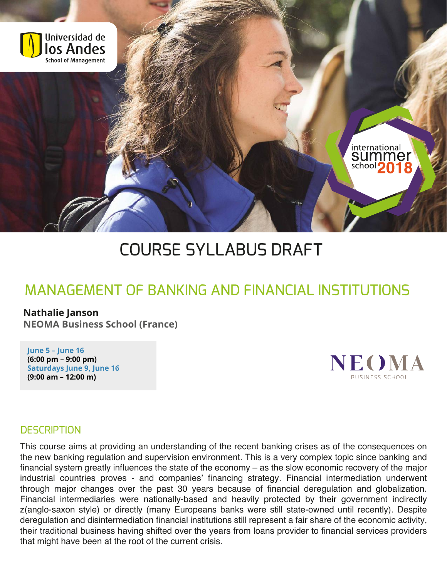

# COURSE SYLLABUS DRAFT

# MANAGEMENT OF BANKING AND FINANCIAL INSTITUTIONS

#### **Nathalie Janson**

**NEOMA Business School (France)**

**June 5 – June 16 (6:00 pm – 9:00 pm) Saturdays June 9, June 16 (9:00 am – 12:00 m)**



#### **DESCRIPTION**

This course aims at providing an understanding of the recent banking crises as of the consequences on the new banking regulation and supervision environment. This is a very complex topic since banking and financial system greatly influences the state of the economy – as the slow economic recovery of the major industrial countries proves - and companies' financing strategy. Financial intermediation underwent through major changes over the past 30 years because of financial deregulation and globalization. Financial intermediaries were nationally-based and heavily protected by their government indirectly z(anglo-saxon style) or directly (many Europeans banks were still state-owned until recently). Despite deregulation and disintermediation financial institutions still represent a fair share of the economic activity, their traditional business having shifted over the years from loans provider to financial services providers that might have been at the root of the current crisis.